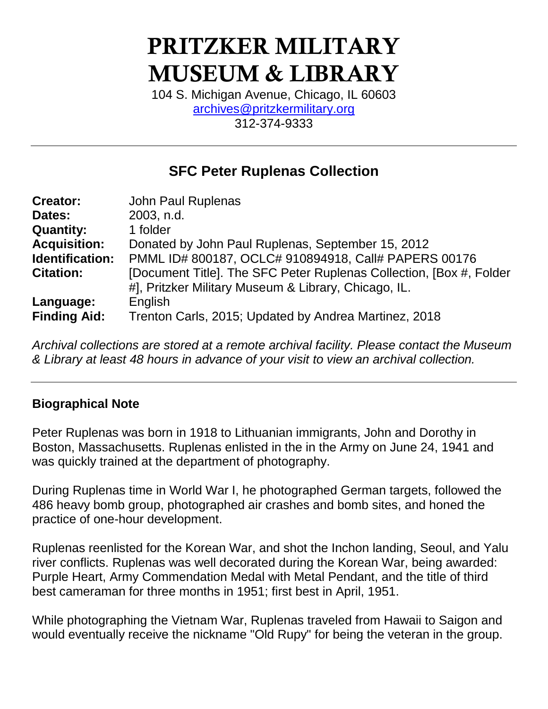# PRITZKER MILITARY MUSEUM & LIBRARY

104 S. Michigan Avenue, Chicago, IL 60603 [archives@pritzkermilitary.org](mailto:archives@pritzkermilitary.org) 312-374-9333

## **SFC Peter Ruplenas Collection**

| <b>Creator:</b>     | John Paul Ruplenas                                                  |
|---------------------|---------------------------------------------------------------------|
| Dates:              | 2003, n.d.                                                          |
| <b>Quantity:</b>    | 1 folder                                                            |
| <b>Acquisition:</b> | Donated by John Paul Ruplenas, September 15, 2012                   |
| Identification:     | PMML ID# 800187, OCLC# 910894918, Call# PAPERS 00176                |
| <b>Citation:</b>    | [Document Title]. The SFC Peter Ruplenas Collection, [Box #, Folder |
|                     | #], Pritzker Military Museum & Library, Chicago, IL.                |
| Language:           | English                                                             |
| <b>Finding Aid:</b> | Trenton Carls, 2015; Updated by Andrea Martinez, 2018               |

*Archival collections are stored at a remote archival facility. Please contact the Museum & Library at least 48 hours in advance of your visit to view an archival collection.*

#### **Biographical Note**

Peter Ruplenas was born in 1918 to Lithuanian immigrants, John and Dorothy in Boston, Massachusetts. Ruplenas enlisted in the in the Army on June 24, 1941 and was quickly trained at the department of photography.

During Ruplenas time in World War I, he photographed German targets, followed the 486 heavy bomb group, photographed air crashes and bomb sites, and honed the practice of one-hour development.

Ruplenas reenlisted for the Korean War, and shot the Inchon landing, Seoul, and Yalu river conflicts. Ruplenas was well decorated during the Korean War, being awarded: Purple Heart, Army Commendation Medal with Metal Pendant, and the title of third best cameraman for three months in 1951; first best in April, 1951.

While photographing the Vietnam War, Ruplenas traveled from Hawaii to Saigon and would eventually receive the nickname "Old Rupy" for being the veteran in the group.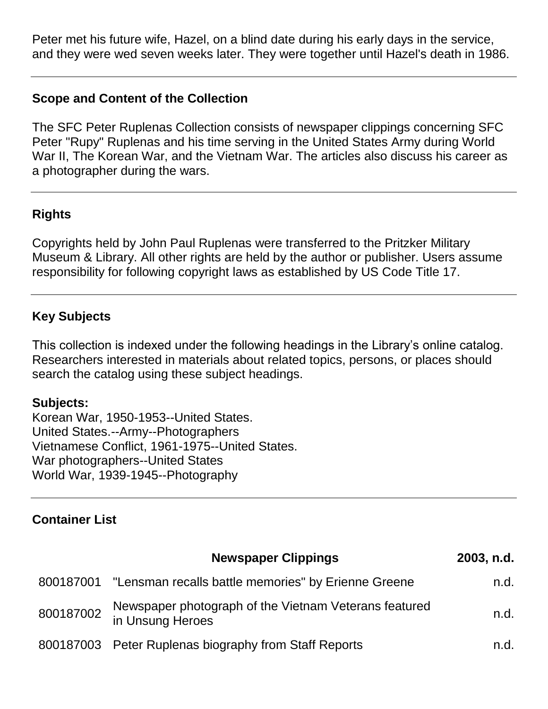Peter met his future wife, Hazel, on a blind date during his early days in the service, and they were wed seven weeks later. They were together until Hazel's death in 1986.

#### **Scope and Content of the Collection**

The SFC Peter Ruplenas Collection consists of newspaper clippings concerning SFC Peter "Rupy" Ruplenas and his time serving in the United States Army during World War II, The Korean War, and the Vietnam War. The articles also discuss his career as a photographer during the wars.

#### **Rights**

Copyrights held by John Paul Ruplenas were transferred to the Pritzker Military Museum & Library. All other rights are held by the author or publisher. Users assume responsibility for following copyright laws as established by US Code Title 17.

### **Key Subjects**

This collection is indexed under the following headings in the Library's online catalog. Researchers interested in materials about related topics, persons, or places should search the catalog using these subject headings.

#### **Subjects:**

Korean War, 1950-1953--United States. United States.--Army--Photographers Vietnamese Conflict, 1961-1975--United States. War photographers--United States World War, 1939-1945--Photography

### **Container List**

| <b>Newspaper Clippings</b>                                                  | 2003, n.d. |
|-----------------------------------------------------------------------------|------------|
| 800187001 "Lensman recalls battle memories" by Erienne Greene               | n.d.       |
| Newspaper photograph of the Vietnam Veterans featured<br>800187002 INCHUTCH | n.d.       |
| 800187003 Peter Ruplenas biography from Staff Reports                       | n.d.       |